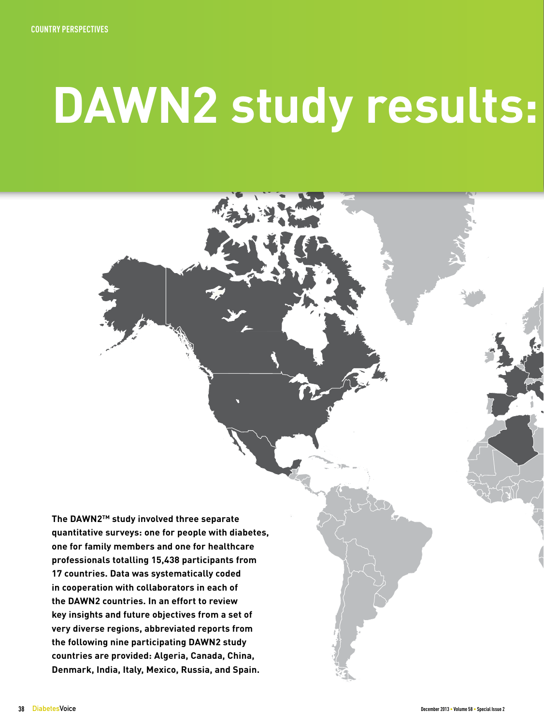# **DAWN2 study results:**

**The DAWN2TM study involved three separate quantitative surveys: one for people with diabetes, one for family members and one for healthcare professionals totalling 15,438 participants from 17 countries. Data was systematically coded in cooperation with collaborators in each of the DAWN2 countries. In an effort to review key insights and future objectives from a set of very diverse regions, abbreviated reports from the following nine participating DAWN2 study countries are provided: Algeria, Canada, China, Denmark, India, Italy, Mexico, Russia, and Spain.**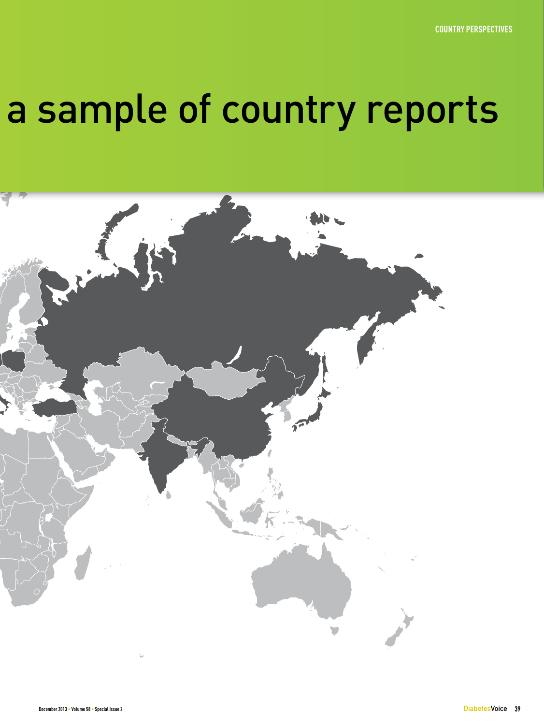## a sample of country reports

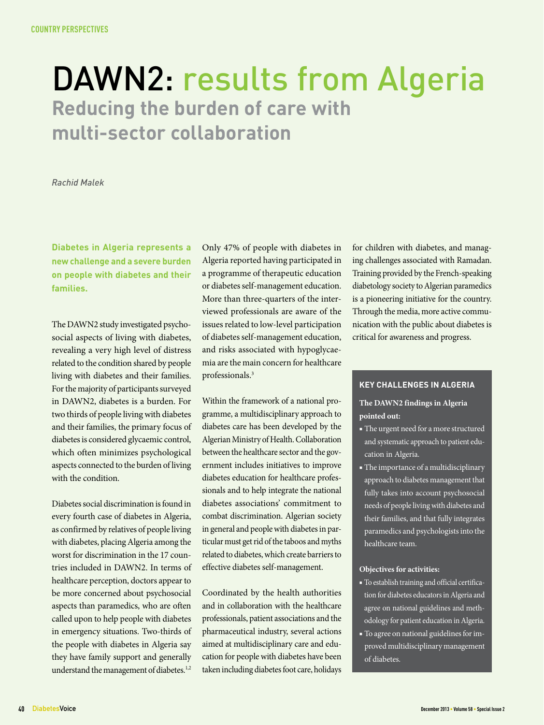### DAWN2: results from Algeria **Reducing the burden of care with multi-sector collaboration**

*Rachid Malek*

**Diabetes in Algeria represents a new challenge and a severe burden on people with diabetes and their families.** 

The DAWN2 study investigated psychosocial aspects of living with diabetes, revealing a very high level of distress related to the condition shared by people living with diabetes and their families. For the majority of participants surveyed in DAWN2, diabetes is a burden. For two thirds of people living with diabetes and their families, the primary focus of diabetes is considered glycaemic control, which often minimizes psychological aspects connected to the burden of living with the condition.

Diabetes social discrimination is found in every fourth case of diabetes in Algeria, as confirmed by relatives of people living with diabetes, placing Algeria among the worst for discrimination in the 17 countries included in DAWN2. In terms of healthcare perception, doctors appear to be more concerned about psychosocial aspects than paramedics, who are often called upon to help people with diabetes in emergency situations. Two-thirds of the people with diabetes in Algeria say they have family support and generally understand the management of diabetes.<sup>1,2</sup>

Only 47% of people with diabetes in Algeria reported having participated in a programme of therapeutic education or diabetes self-management education. More than three-quarters of the interviewed professionals are aware of the issues related to low-level participation of diabetes self-management education, and risks associated with hypoglycaemia are the main concern for healthcare professionals.3

Within the framework of a national programme, a multidisciplinary approach to diabetes care has been developed by the Algerian Ministry of Health. Collaboration between the healthcare sector and the government includes initiatives to improve diabetes education for healthcare professionals and to help integrate the national diabetes associations' commitment to combat discrimination. Algerian society in general and people with diabetes in particular must get rid of the taboos and myths related to diabetes, which create barriers to effective diabetes self-management.

Coordinated by the health authorities and in collaboration with the healthcare professionals, patient associations and the pharmaceutical industry, several actions aimed at multidisciplinary care and education for people with diabetes have been taken including diabetes foot care, holidays

for children with diabetes, and managing challenges associated with Ramadan. Training provided by the French-speaking diabetology society to Algerian paramedics is a pioneering initiative for the country. Through the media, more active communication with the public about diabetes is critical for awareness and progress.

### **Key challenges in Algeria**

### **The DAWN2 findings in Algeria pointed out:**

- The urgent need for a more structured and systematic approach to patient education in Algeria.
- The importance of a multidisciplinary approach to diabetes management that fully takes into account psychosocial needs of people living with diabetes and their families, and that fully integrates paramedics and psychologists into the healthcare team.

#### **Objectives for activities:**

■ To establish training and official certification for diabetes educators in Algeria and agree on national guidelines and methodology for patient education in Algeria. ■ To agree on national guidelines for improved multidisciplinary management of diabetes.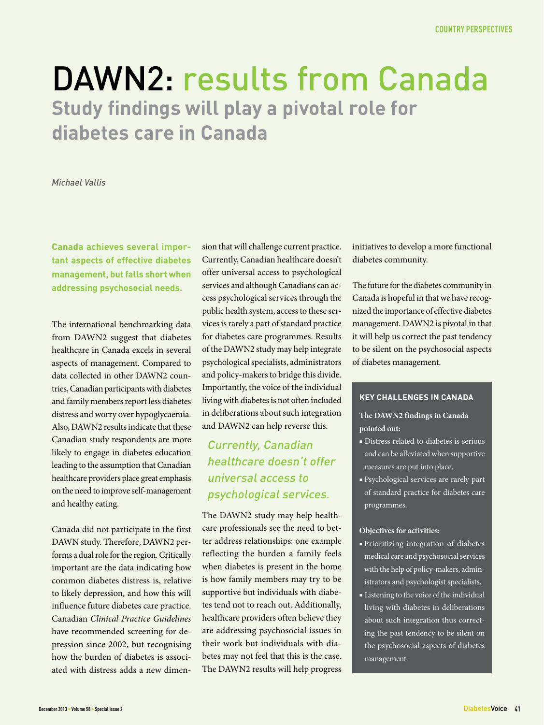### DAWN2: results from Canada **Study findings will play a pivotal role for diabetes care in Canada**

### *Michael Vallis*

**Canada achieves several important aspects of effective diabetes management, but falls short when addressing psychosocial needs.**

The international benchmarking data from DAWN2 suggest that diabetes healthcare in Canada excels in several aspects of management. Compared to data collected in other DAWN2 countries, Canadian participants with diabetes and family members report less diabetes distress and worry over hypoglycaemia. Also, DAWN2 results indicate that these Canadian study respondents are more likely to engage in diabetes education leading to the assumption that Canadian healthcare providers place great emphasis on the need to improve self-management and healthy eating.

Canada did not participate in the first DAWN study. Therefore, DAWN2 performs a dual role for the region. Critically important are the data indicating how common diabetes distress is, relative to likely depression, and how this will influence future diabetes care practice. Canadian *Clinical Practice Guidelines*  have recommended screening for depression since 2002, but recognising how the burden of diabetes is associated with distress adds a new dimension that will challenge current practice. Currently, Canadian healthcare doesn't offer universal access to psychological services and although Canadians can access psychological services through the public health system, access to these services is rarely a part of standard practice for diabetes care programmes. Results of the DAWN2 study may help integrate psychological specialists, administrators and policy-makers to bridge this divide. Importantly, the voice of the individual living with diabetes is not often included in deliberations about such integration and DAWN2 can help reverse this.

### Currently, Canadian healthcare doesn't offer universal access to psychological services.

The DAWN2 study may help healthcare professionals see the need to better address relationships: one example reflecting the burden a family feels when diabetes is present in the home is how family members may try to be supportive but individuals with diabetes tend not to reach out. Additionally, healthcare providers often believe they are addressing psychosocial issues in their work but individuals with diabetes may not feel that this is the case. The DAWN2 results will help progress

initiatives to develop a more functional diabetes community.

The future for the diabetes community in Canada is hopeful in that we have recognized the importance of effective diabetes management. DAWN2 is pivotal in that it will help us correct the past tendency to be silent on the psychosocial aspects of diabetes management.

### **Key challenges in Canada**

**The DAWN2 findings in Canada pointed out:**

- Distress related to diabetes is serious and can be alleviated when supportive measures are put into place.
- Psychological services are rarely part of standard practice for diabetes care programmes.

- Prioritizing integration of diabetes medical care and psychosocial services with the help of policy-makers, administrators and psychologist specialists.
- Listening to the voice of the individual living with diabetes in deliberations about such integration thus correcting the past tendency to be silent on the psychosocial aspects of diabetes management.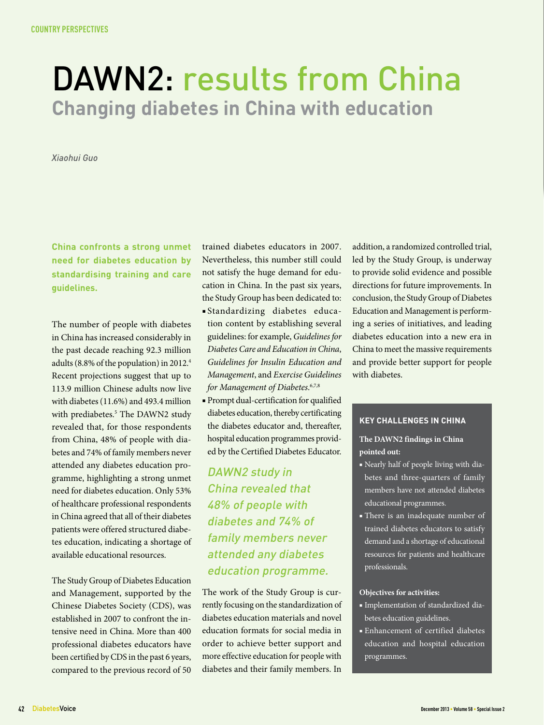### DAWN2: results from China **Changing diabetes in China with education**

*Xiaohui Guo*

**China confronts a strong unmet need for diabetes education by standardising training and care guidelines.**

The number of people with diabetes in China has increased considerably in the past decade reaching 92.3 million adults (8.8% of the population) in 2012.4 Recent projections suggest that up to 113.9 million Chinese adults now live with diabetes (11.6%) and 493.4 million with prediabetes.<sup>5</sup> The DAWN2 study revealed that, for those respondents from China, 48% of people with diabetes and 74% of family members never attended any diabetes education programme, highlighting a strong unmet need for diabetes education. Only 53% of healthcare professional respondents in China agreed that all of their diabetes patients were offered structured diabetes education, indicating a shortage of available educational resources.

The Study Group of Diabetes Education and Management, supported by the Chinese Diabetes Society (CDS), was established in 2007 to confront the intensive need in China. More than 400 professional diabetes educators have been certified by CDS in the past 6 years, compared to the previous record of 50

trained diabetes educators in 2007. Nevertheless, this number still could not satisfy the huge demand for education in China. In the past six years, the Study Group has been dedicated to:

- Standardizing diabetes education content by establishing several guidelines: for example, *Guidelines for Diabetes Care and Education in China*, *Guidelines for Insulin Education and Management*, and *Exercise Guidelines for Management of Diabetes*. 6,7,8
- Prompt dual-certification for qualified diabetes education, thereby certificating the diabetes educator and, thereafter, hospital education programmes provided by the Certified Diabetes Educator.

DAWN2 study in China revealed that 48% of people with diabetes and 74% of family members never attended any diabetes education programme.

The work of the Study Group is currently focusing on the standardization of diabetes education materials and novel education formats for social media in order to achieve better support and more effective education for people with diabetes and their family members. In

addition, a randomized controlled trial, led by the Study Group, is underway to provide solid evidence and possible directions for future improvements. In conclusion, the Study Group of Diabetes Education and Management is performing a series of initiatives, and leading diabetes education into a new era in China to meet the massive requirements and provide better support for people with diabetes.

### **Key challenges in china**

### **The DAWN2 findings in China pointed out:**

- Nearly half of people living with diabetes and three-quarters of family members have not attended diabetes educational programmes.
- There is an inadequate number of trained diabetes educators to satisfy demand and a shortage of educational resources for patients and healthcare professionals.

- Implementation of standardized diabetes education guidelines.
- Enhancement of certified diabetes education and hospital education programmes.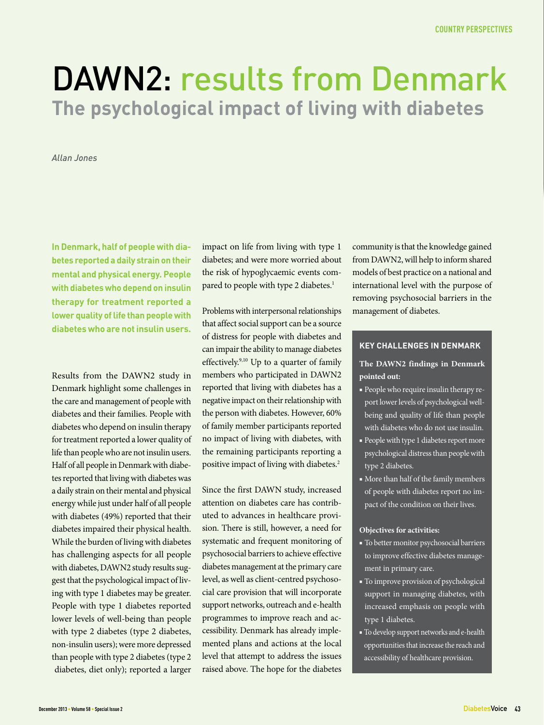### DAWN2: results from Denmark **The psychological impact of living with diabetes**

*Allan Jones*

**In Denmark, half of people with diabetes reported a daily strain on their mental and physical energy. People with diabetes who depend on insulin therapy for treatment reported a lower quality of life than people with diabetes who are not insulin users.**

Results from the DAWN2 study in Denmark highlight some challenges in the care and management of people with diabetes and their families. People with diabetes who depend on insulin therapy for treatment reported a lower quality of life than people who are not insulin users. Half of all people in Denmark with diabetes reported that living with diabetes was a daily strain on their mental and physical energy while just under half of all people with diabetes (49%) reported that their diabetes impaired their physical health. While the burden of living with diabetes has challenging aspects for all people with diabetes, DAWN2 study results suggest that the psychological impact of living with type 1 diabetes may be greater. People with type 1 diabetes reported lower levels of well-being than people with type 2 diabetes (type 2 diabetes, non-insulin users); were more depressed than people with type 2 diabetes (type 2 diabetes, diet only); reported a larger

impact on life from living with type 1 diabetes; and were more worried about the risk of hypoglycaemic events compared to people with type 2 diabetes.<sup>1</sup>

Problems with interpersonal relationships that affect social support can be a source of distress for people with diabetes and can impair the ability to manage diabetes effectively.<sup>9,10</sup> Up to a quarter of family members who participated in DAWN2 reported that living with diabetes has a negative impact on their relationship with the person with diabetes. However, 60% of family member participants reported no impact of living with diabetes, with the remaining participants reporting a positive impact of living with diabetes.2

Since the first DAWN study, increased attention on diabetes care has contributed to advances in healthcare provision. There is still, however, a need for systematic and frequent monitoring of psychosocial barriers to achieve effective diabetes management at the primary care level, as well as client-centred psychosocial care provision that will incorporate support networks, outreach and e-health programmes to improve reach and accessibility. Denmark has already implemented plans and actions at the local level that attempt to address the issues raised above. The hope for the diabetes

community is that the knowledge gained from DAWN2, will help to inform shared models of best practice on a national and international level with the purpose of removing psychosocial barriers in the management of diabetes.

#### **Key challenges in Denmark**

### **The DAWN2 findings in Denmark pointed out:**

- People who require insulin therapy report lower levels of psychological wellbeing and quality of life than people with diabetes who do not use insulin.
- People with type 1 diabetes report more psychological distress than people with type 2 diabetes.
- More than half of the family members of people with diabetes report no impact of the condition on their lives.

- To better monitor psychosocial barriers to improve effective diabetes management in primary care.
- To improve provision of psychological support in managing diabetes, with increased emphasis on people with type 1 diabetes.
- To develop support networks and e-health opportunities that increase the reach and accessibility of healthcare provision.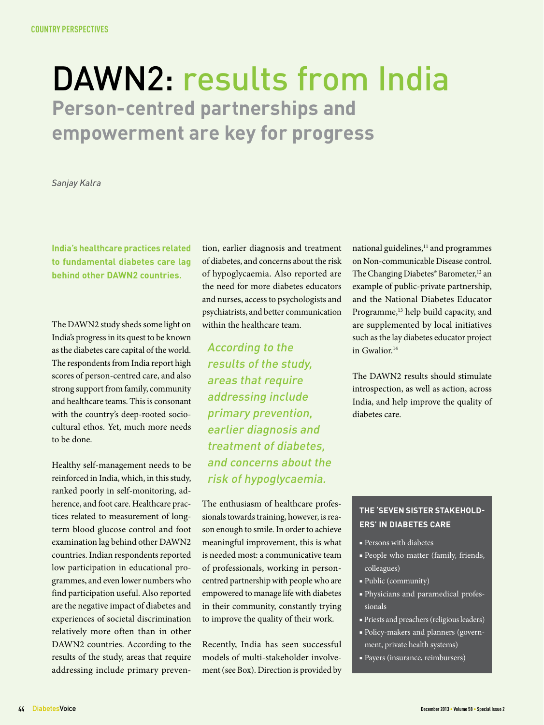### DAWN2: results from India **Person-centred partnerships and empowerment are key for progress**

*Sanjay Kalra*

**India's healthcare practices related to fundamental diabetes care lag behind other DAWN2 countries.**

The DAWN2 study sheds some light on India's progress in its quest to be known as the diabetes care capital of the world. The respondents from India report high scores of person-centred care, and also strong support from family, community and healthcare teams. This is consonant with the country's deep-rooted sociocultural ethos. Yet, much more needs to be done.

Healthy self-management needs to be reinforced in India, which, in this study, ranked poorly in self-monitoring, adherence, and foot care. Healthcare practices related to measurement of longterm blood glucose control and foot examination lag behind other DAWN2 countries. Indian respondents reported low participation in educational programmes, and even lower numbers who find participation useful. Also reported are the negative impact of diabetes and experiences of societal discrimination relatively more often than in other DAWN2 countries. According to the results of the study, areas that require addressing include primary preven-

tion, earlier diagnosis and treatment of diabetes, and concerns about the risk of hypoglycaemia. Also reported are the need for more diabetes educators and nurses, access to psychologists and psychiatrists, and better communication within the healthcare team.

According to the results of the study, areas that require addressing include primary prevention, earlier diagnosis and treatment of diabetes, and concerns about the risk of hypoglycaemia.

The enthusiasm of healthcare professionals towards training, however, is reason enough to smile. In order to achieve meaningful improvement, this is what is needed most: a communicative team of professionals, working in personcentred partnership with people who are empowered to manage life with diabetes in their community, constantly trying to improve the quality of their work.

Recently, India has seen successful models of multi-stakeholder involvement (see Box). Direction is provided by

national guidelines,<sup>11</sup> and programmes on Non-communicable Disease control. The Changing Diabetes® Barometer,<sup>12</sup> an example of public-private partnership, and the National Diabetes Educator Programme,<sup>13</sup> help build capacity, and are supplemented by local initiatives such as the lay diabetes educator project in Gwalior.<sup>14</sup>

The DAWN2 results should stimulate introspection, as well as action, across India, and help improve the quality of diabetes care.

### **The 'Seven Sister Stakeholders' in Diabetes Care**

- Persons with diabetes
- People who matter (family, friends, colleagues)
- Public (community)
- Physicians and paramedical professionals
- Priests and preachers (religious leaders)
- Policy-makers and planners (government, private health systems)
- Payers (insurance, reimbursers)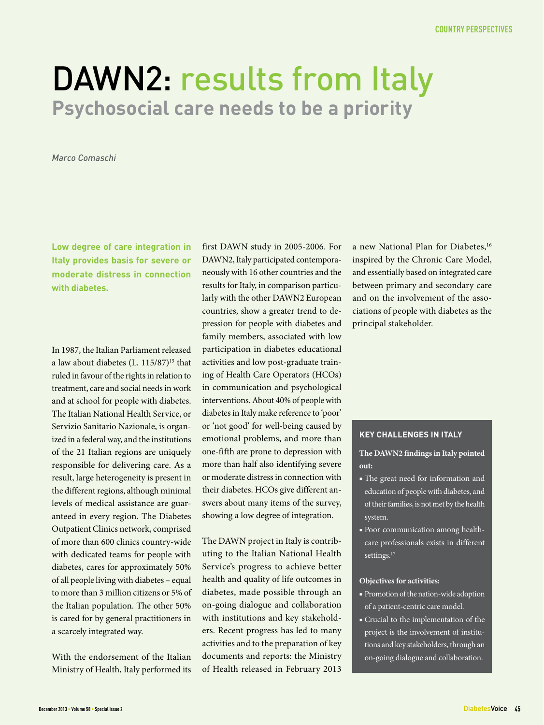### DAWN2: results from Italy **Psychosocial care needs to be a priority**

*Marco Comaschi*

**Low degree of care integration in Italy provides basis for severe or moderate distress in connection with diabetes.**

In 1987, the Italian Parliament released a law about diabetes  $(L. 115/87)^{15}$  that ruled in favour of the rights in relation to treatment, care and social needs in work and at school for people with diabetes. The Italian National Health Service, or Servizio Sanitario Nazionale, is organized in a federal way, and the institutions of the 21 Italian regions are uniquely responsible for delivering care. As a result, large heterogeneity is present in the different regions, although minimal levels of medical assistance are guaranteed in every region. The Diabetes Outpatient Clinics network, comprised of more than 600 clinics country-wide with dedicated teams for people with diabetes, cares for approximately 50% of all people living with diabetes – equal to more than 3 million citizens or 5% of the Italian population. The other 50% is cared for by general practitioners in a scarcely integrated way.

With the endorsement of the Italian Ministry of Health, Italy performed its

first DAWN study in 2005-2006. For DAWN2, Italy participated contemporaneously with 16 other countries and the results for Italy, in comparison particularly with the other DAWN2 European countries, show a greater trend to depression for people with diabetes and family members, associated with low participation in diabetes educational activities and low post-graduate training of Health Care Operators (HCOs) in communication and psychological interventions. About 40% of people with diabetes in Italy make reference to 'poor' or 'not good' for well-being caused by emotional problems, and more than one-fifth are prone to depression with more than half also identifying severe or moderate distress in connection with their diabetes. HCOs give different answers about many items of the survey, showing a low degree of integration.

The DAWN project in Italy is contributing to the Italian National Health Service's progress to achieve better health and quality of life outcomes in diabetes, made possible through an on-going dialogue and collaboration with institutions and key stakeholders. Recent progress has led to many activities and to the preparation of key documents and reports: the Ministry of Health released in February 2013

a new National Plan for Diabetes,<sup>16</sup> inspired by the Chronic Care Model, and essentially based on integrated care between primary and secondary care and on the involvement of the associations of people with diabetes as the principal stakeholder.

### **Key challenges in Italy**

### **The DAWN2 findings in Italy pointed out:**

- The great need for information and education of people with diabetes, and of their families, is not met by the health system.
- Poor communication among healthcare professionals exists in different settings.<sup>17</sup>

- Promotion of the nation-wide adoption of a patient-centric care model.
- Crucial to the implementation of the project is the involvement of institutions and key stakeholders, through an on-going dialogue and collaboration.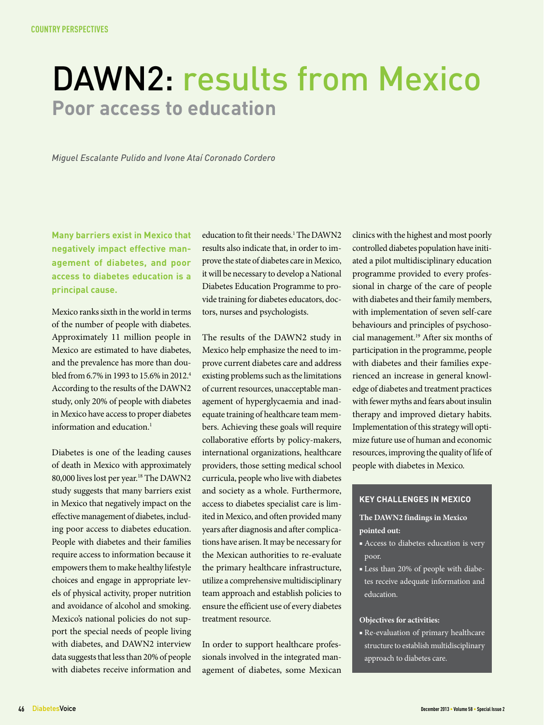### DAWN2: results from Mexico **Poor access to education**

*Miguel Escalante Pulido and Ivone Ataí Coronado Cordero*

**Many barriers exist in Mexico that negatively impact effective management of diabetes, and poor access to diabetes education is a principal cause.**

Mexico ranks sixth in the world in terms of the number of people with diabetes. Approximately 11 million people in Mexico are estimated to have diabetes, and the prevalence has more than doubled from 6.7% in 1993 to 15.6% in 2012.4 According to the results of the DAWN2 study, only 20% of people with diabetes in Mexico have access to proper diabetes information and education.1

Diabetes is one of the leading causes of death in Mexico with approximately 80,000 lives lost per year.<sup>18</sup> The DAWN2 study suggests that many barriers exist in Mexico that negatively impact on the effective management of diabetes, including poor access to diabetes education. People with diabetes and their families require access to information because it empowers them to make healthy lifestyle choices and engage in appropriate levels of physical activity, proper nutrition and avoidance of alcohol and smoking. Mexico's national policies do not support the special needs of people living with diabetes, and DAWN2 interview data suggests that less than 20% of people with diabetes receive information and

education to fit their needs.<sup>1</sup> The DAWN2 results also indicate that, in order to improve the state of diabetes care in Mexico, it will be necessary to develop a National Diabetes Education Programme to provide training for diabetes educators, doctors, nurses and psychologists.

The results of the DAWN2 study in Mexico help emphasize the need to improve current diabetes care and address existing problems such as the limitations of current resources, unacceptable management of hyperglycaemia and inadequate training of healthcare team members. Achieving these goals will require collaborative efforts by policy-makers, international organizations, healthcare providers, those setting medical school curricula, people who live with diabetes and society as a whole. Furthermore, access to diabetes specialist care is limited in Mexico, and often provided many years after diagnosis and after complications have arisen. It may be necessary for the Mexican authorities to re-evaluate the primary healthcare infrastructure, utilize a comprehensive multidisciplinary team approach and establish policies to ensure the efficient use of every diabetes treatment resource.

In order to support healthcare professionals involved in the integrated management of diabetes, some Mexican clinics with the highest and most poorly controlled diabetes population have initiated a pilot multidisciplinary education programme provided to every professional in charge of the care of people with diabetes and their family members, with implementation of seven self-care behaviours and principles of psychosocial management.19 After six months of participation in the programme, people with diabetes and their families experienced an increase in general knowledge of diabetes and treatment practices with fewer myths and fears about insulin therapy and improved dietary habits. Implementation of this strategy will optimize future use of human and economic resources, improving the quality of life of people with diabetes in Mexico.

### **Key challenges in mexico**

### **The DAWN2 findings in Mexico pointed out:**

- Access to diabetes education is very poor.
- Less than 20% of people with diabetes receive adequate information and education.

#### **Objectives for activities:**

■ Re-evaluation of primary healthcare structure to establish multidisciplinary approach to diabetes care.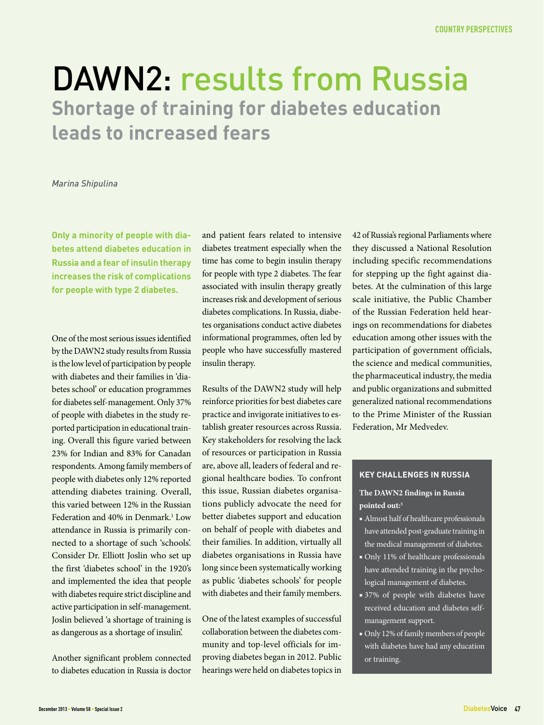### DAWN2: results from Russia **Shortage of training for diabetes education leads to increased fears**

### *Marina Shipulina*

**Only a minority of people with diabetes attend diabetes education in Russia and a fear of insulin therapy increases the risk of complications for people with type 2 diabetes.**

One of the most serious issues identified by the DAWN2 study results from Russia is the low level of participation by people with diabetes and their families in 'diabetes school' or education programmes for diabetes self-management. Only 37% of people with diabetes in the study reported participation in educational training. Overall this figure varied between 23% for Indian and 83% for Canadan respondents. Among family members of people with diabetes only 12% reported attending diabetes training. Overall, this varied between 12% in the Russian Federation and 40% in Denmark.<sup>1</sup> Low attendance in Russia is primarily connected to a shortage of such 'schools'. Consider Dr. Elliott Joslin who set up the first 'diabetes school' in the 1920's and implemented the idea that people with diabetes require strict discipline and active participation in self-management. Joslin believed 'a shortage of training is as dangerous as a shortage of insulin'.

Another significant problem connected to diabetes education in Russia is doctor and patient fears related to intensive diabetes treatment especially when the time has come to begin insulin therapy for people with type 2 diabetes. The fear associated with insulin therapy greatly increases risk and development of serious diabetes complications. In Russia, diabetes organisations conduct active diabetes informational programmes, often led by people who have successfully mastered insulin therapy.

Results of the DAWN2 study will help reinforce priorities for best diabetes care practice and invigorate initiatives to establish greater resources across Russia. Key stakeholders for resolving the lack of resources or participation in Russia are, above all, leaders of federal and regional healthcare bodies. To confront this issue, Russian diabetes organisations publicly advocate the need for better diabetes support and education on behalf of people with diabetes and their families. In addition, virtually all diabetes organisations in Russia have long since been systematically working as public 'diabetes schools' for people with diabetes and their family members.

One of the latest examples of successful collaboration between the diabetes community and top-level officials for improving diabetes began in 2012. Public hearings were held on diabetes topics in

42 of Russia's regional Parliaments where they discussed a National Resolution including specific recommendations for stepping up the fight against diabetes. At the culmination of this large scale initiative, the Public Chamber of the Russian Federation held hearings on recommendations for diabetes education among other issues with the participation of government officials, the science and medical communities, the pharmaceutical industry, the media and public organizations and submitted generalized national recommendations to the Prime Minister of the Russian Federation, Mr Medvedev.

### **Key challenges in russia**

### **The DAWN2 findings in Russia pointed out:3**

- Almost half of healthcare professionals have attended post-graduate training in the medical management of diabetes.
- Only 11% of healthcare professionals have attended training in the psychological management of diabetes.
- 37% of people with diabetes have received education and diabetes selfmanagement support.
- Only 12% of family members of people with diabetes have had any education or training.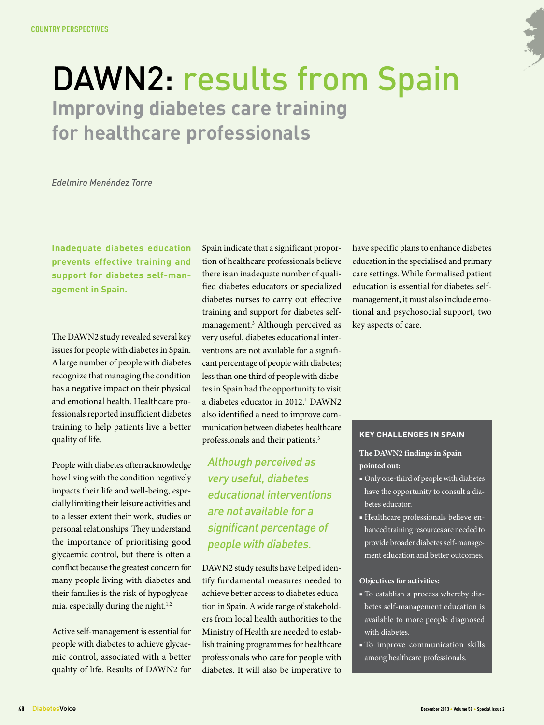### DAWN2: results from Spain **Improving diabetes care training for healthcare professionals**

*Edelmiro Menéndez Torre*

**Inadequate diabetes education prevents effective training and support for diabetes self-management in Spain.**

The DAWN2 study revealed several key issues for people with diabetes in Spain. A large number of people with diabetes recognize that managing the condition has a negative impact on their physical and emotional health. Healthcare professionals reported insufficient diabetes training to help patients live a better quality of life.

People with diabetes often acknowledge how living with the condition negatively impacts their life and well-being, especially limiting their leisure activities and to a lesser extent their work, studies or personal relationships. They understand the importance of prioritising good glycaemic control, but there is often a conflict because the greatest concern for many people living with diabetes and their families is the risk of hypoglycaemia, especially during the night.<sup>1,2</sup>

Active self-management is essential for people with diabetes to achieve glycaemic control, associated with a better quality of life. Results of DAWN2 for

Spain indicate that a significant proportion of healthcare professionals believe there is an inadequate number of qualified diabetes educators or specialized diabetes nurses to carry out effective training and support for diabetes selfmanagement.3 Although perceived as very useful, diabetes educational interventions are not available for a significant percentage of people with diabetes; less than one third of people with diabetes in Spain had the opportunity to visit a diabetes educator in 2012.<sup>1</sup> DAWN2 also identified a need to improve communication between diabetes healthcare professionals and their patients.<sup>3</sup>

Although perceived as very useful, diabetes educational interventions are not available for a significant percentage of people with diabetes.

DAWN2 study results have helped identify fundamental measures needed to achieve better access to diabetes education in Spain. A wide range of stakeholders from local health authorities to the Ministry of Health are needed to establish training programmes for healthcare professionals who care for people with diabetes. It will also be imperative to

have specific plans to enhance diabetes education in the specialised and primary care settings. While formalised patient education is essential for diabetes selfmanagement, it must also include emotional and psychosocial support, two key aspects of care.

### **Key challenges in Spain**

### **The DAWN2 findings in Spain pointed out:**

- Only one-third of people with diabetes have the opportunity to consult a diabetes educator.
- Healthcare professionals believe enhanced training resources are needed to provide broader diabetes self-management education and better outcomes.

- To establish a process whereby diabetes self-management education is available to more people diagnosed with diabetes.
- To improve communication skills among healthcare professionals.